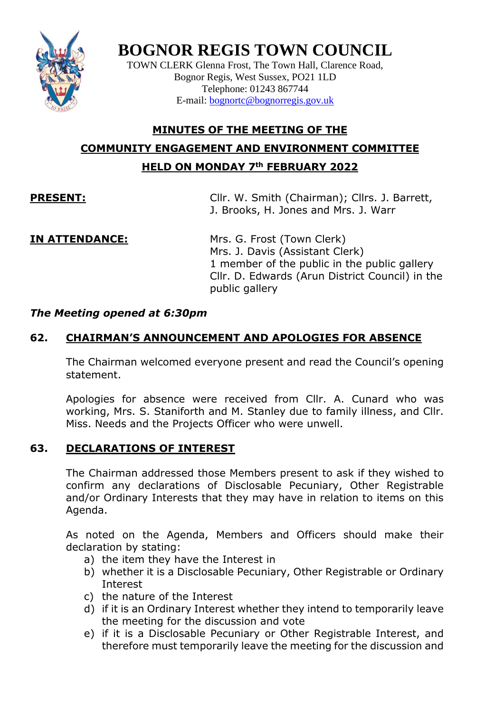

# **BOGNOR REGIS TOWN COUNCIL**

TOWN CLERK Glenna Frost, The Town Hall, Clarence Road, Bognor Regis, West Sussex, PO21 1LD Telephone: 01243 867744 E-mail: [bognortc@bognorregis.gov.uk](mailto:bognortc@bognorregis.gov.uk)

## **MINUTES OF THE MEETING OF THE COMMUNITY ENGAGEMENT AND ENVIRONMENT COMMITTEE HELD ON MONDAY 7th FEBRUARY 2022**

**PRESENT:** Cllr. W. Smith (Chairman); Cllrs. J. Barrett, J. Brooks, H. Jones and Mrs. J. Warr

**IN ATTENDANCE:** Mrs. G. Frost (Town Clerk) Mrs. J. Davis (Assistant Clerk) 1 member of the public in the public gallery Cllr. D. Edwards (Arun District Council) in the public gallery

### *The Meeting opened at 6:30pm*

### **62. CHAIRMAN'S ANNOUNCEMENT AND APOLOGIES FOR ABSENCE**

The Chairman welcomed everyone present and read the Council's opening statement.

Apologies for absence were received from Cllr. A. Cunard who was working, Mrs. S. Staniforth and M. Stanley due to family illness, and Cllr. Miss. Needs and the Projects Officer who were unwell.

### **63. DECLARATIONS OF INTEREST**

The Chairman addressed those Members present to ask if they wished to confirm any declarations of Disclosable Pecuniary, Other Registrable and/or Ordinary Interests that they may have in relation to items on this Agenda.

As noted on the Agenda, Members and Officers should make their declaration by stating:

- a) the item they have the Interest in
- b) whether it is a Disclosable Pecuniary, Other Registrable or Ordinary Interest
- c) the nature of the Interest
- d) if it is an Ordinary Interest whether they intend to temporarily leave the meeting for the discussion and vote
- e) if it is a Disclosable Pecuniary or Other Registrable Interest, and therefore must temporarily leave the meeting for the discussion and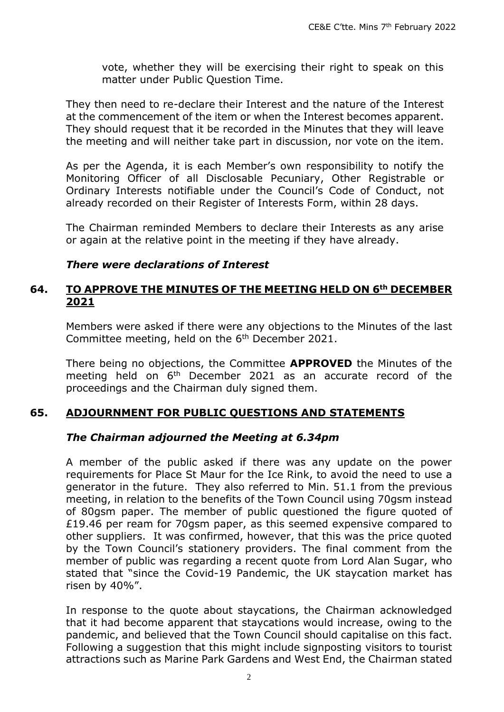vote, whether they will be exercising their right to speak on this matter under Public Question Time.

They then need to re-declare their Interest and the nature of the Interest at the commencement of the item or when the Interest becomes apparent. They should request that it be recorded in the Minutes that they will leave the meeting and will neither take part in discussion, nor vote on the item.

As per the Agenda, it is each Member's own responsibility to notify the Monitoring Officer of all Disclosable Pecuniary, Other Registrable or Ordinary Interests notifiable under the Council's Code of Conduct, not already recorded on their Register of Interests Form, within 28 days.

The Chairman reminded Members to declare their Interests as any arise or again at the relative point in the meeting if they have already.

#### *There were declarations of Interest*

#### **64. TO APPROVE THE MINUTES OF THE MEETING HELD ON 6th DECEMBER 2021**

Members were asked if there were any objections to the Minutes of the last Committee meeting, held on the 6<sup>th</sup> December 2021.

There being no objections, the Committee **APPROVED** the Minutes of the meeting held on 6<sup>th</sup> December 2021 as an accurate record of the proceedings and the Chairman duly signed them.

#### **65. ADJOURNMENT FOR PUBLIC QUESTIONS AND STATEMENTS**

#### *The Chairman adjourned the Meeting at 6.34pm*

A member of the public asked if there was any update on the power requirements for Place St Maur for the Ice Rink, to avoid the need to use a generator in the future. They also referred to Min. 51.1 from the previous meeting, in relation to the benefits of the Town Council using 70gsm instead of 80gsm paper. The member of public questioned the figure quoted of £19.46 per ream for 70gsm paper, as this seemed expensive compared to other suppliers. It was confirmed, however, that this was the price quoted by the Town Council's stationery providers. The final comment from the member of public was regarding a recent quote from Lord Alan Sugar, who stated that "since the Covid-19 Pandemic, the UK staycation market has risen by 40%".

In response to the quote about staycations, the Chairman acknowledged that it had become apparent that staycations would increase, owing to the pandemic, and believed that the Town Council should capitalise on this fact. Following a suggestion that this might include signposting visitors to tourist attractions such as Marine Park Gardens and West End, the Chairman stated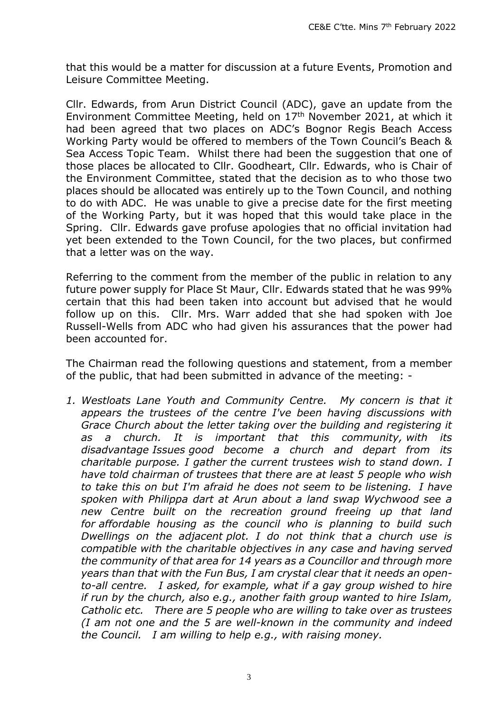that this would be a matter for discussion at a future Events, Promotion and Leisure Committee Meeting.

Cllr. Edwards, from Arun District Council (ADC), gave an update from the Environment Committee Meeting, held on 17<sup>th</sup> November 2021, at which it had been agreed that two places on ADC's Bognor Regis Beach Access Working Party would be offered to members of the Town Council's Beach & Sea Access Topic Team. Whilst there had been the suggestion that one of those places be allocated to Cllr. Goodheart, Cllr. Edwards, who is Chair of the Environment Committee, stated that the decision as to who those two places should be allocated was entirely up to the Town Council, and nothing to do with ADC. He was unable to give a precise date for the first meeting of the Working Party, but it was hoped that this would take place in the Spring. Cllr. Edwards gave profuse apologies that no official invitation had yet been extended to the Town Council, for the two places, but confirmed that a letter was on the way.

Referring to the comment from the member of the public in relation to any future power supply for Place St Maur, Cllr. Edwards stated that he was 99% certain that this had been taken into account but advised that he would follow up on this. Cllr. Mrs. Warr added that she had spoken with Joe Russell-Wells from ADC who had given his assurances that the power had been accounted for.

The Chairman read the following questions and statement, from a member of the public, that had been submitted in advance of the meeting: -

*1. Westloats Lane Youth and Community Centre. My concern is that it appears the trustees of the centre I've been having discussions with Grace Church about the letter taking over the building and registering it as a church. It is important that this community, with its disadvantage Issues good become a church and depart from its charitable purpose. I gather the current trustees wish to stand down. I have told chairman of trustees that there are at least 5 people who wish to take this on but I'm afraid he does not seem to be listening. I have spoken with Philippa dart at Arun about a land swap Wychwood see a new Centre built on the recreation ground freeing up that land for affordable housing as the council who is planning to build such Dwellings on the adjacent plot. I do not think that a church use is compatible with the charitable objectives in any case and having served the community of that area for 14 years as a Councillor and through more years than that with the Fun Bus, I am crystal clear that it needs an opento-all centre. I asked, for example, what if a gay group wished to hire if run by the church, also e.g., another faith group wanted to hire Islam, Catholic etc. There are 5 people who are willing to take over as trustees (I am not one and the 5 are well-known in the community and indeed the Council. I am willing to help e.g., with raising money.*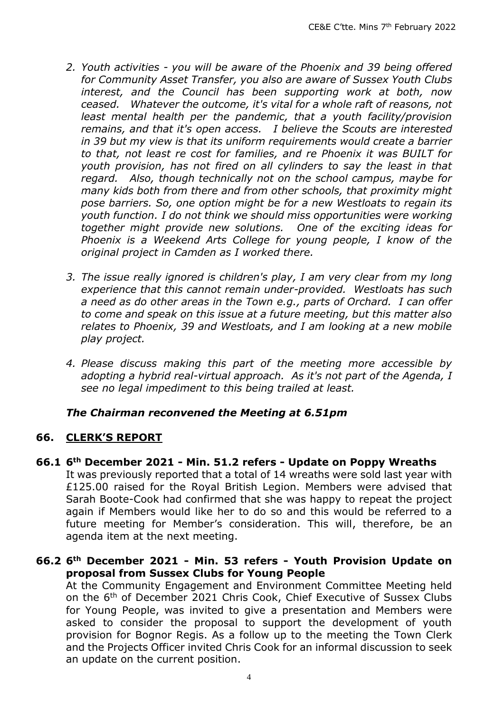- *2. Youth activities - you will be aware of the Phoenix and 39 being offered for Community Asset Transfer, you also are aware of Sussex Youth Clubs interest, and the Council has been supporting work at both, now ceased. Whatever the outcome, it's vital for a whole raft of reasons, not least mental health per the pandemic, that a youth facility/provision remains, and that it's open access. I believe the Scouts are interested in 39 but my view is that its uniform requirements would create a barrier to that, not least re cost for families, and re Phoenix it was BUILT for youth provision, has not fired on all cylinders to say the least in that regard. Also, though technically not on the school campus, maybe for many kids both from there and from other schools, that proximity might pose barriers. So, one option might be for a new Westloats to regain its youth function. I do not think we should miss opportunities were working together might provide new solutions. One of the exciting ideas for Phoenix is a Weekend Arts College for young people, I know of the original project in Camden as I worked there.*
- *3. The issue really ignored is children's play, I am very clear from my long experience that this cannot remain under-provided. Westloats has such a need as do other areas in the Town e.g., parts of Orchard. I can offer to come and speak on this issue at a future meeting, but this matter also relates to Phoenix, 39 and Westloats, and I am looking at a new mobile play project.*
- *4. Please discuss making this part of the meeting more accessible by adopting a hybrid real-virtual approach. As it's not part of the Agenda, I see no legal impediment to this being trailed at least.*

### *The Chairman reconvened the Meeting at 6.51pm*

### **66. CLERK'S REPORT**

**66.1 6th December 2021 - Min. 51.2 refers - Update on Poppy Wreaths**

It was previously reported that a total of 14 wreaths were sold last year with £125.00 raised for the Royal British Legion. Members were advised that Sarah Boote-Cook had confirmed that she was happy to repeat the project again if Members would like her to do so and this would be referred to a future meeting for Member's consideration. This will, therefore, be an agenda item at the next meeting.

#### **66.2 6th December 2021 - Min. 53 refers - Youth Provision Update on proposal from Sussex Clubs for Young People**

At the Community Engagement and Environment Committee Meeting held on the 6th of December 2021 Chris Cook, Chief Executive of Sussex Clubs for Young People, was invited to give a presentation and Members were asked to consider the proposal to support the development of youth provision for Bognor Regis. As a follow up to the meeting the Town Clerk and the Projects Officer invited Chris Cook for an informal discussion to seek an update on the current position.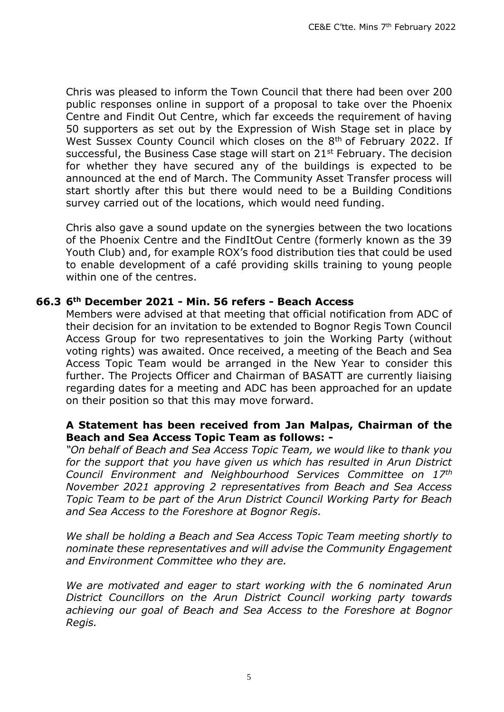Chris was pleased to inform the Town Council that there had been over 200 public responses online in support of a proposal to take over the Phoenix Centre and Findit Out Centre, which far exceeds the requirement of having 50 supporters as set out by the Expression of Wish Stage set in place by West Sussex County Council which closes on the 8<sup>th</sup> of February 2022. If successful, the Business Case stage will start on 21<sup>st</sup> February. The decision for whether they have secured any of the buildings is expected to be announced at the end of March. The Community Asset Transfer process will start shortly after this but there would need to be a Building Conditions survey carried out of the locations, which would need funding.

Chris also gave a sound update on the synergies between the two locations of the Phoenix Centre and the FindItOut Centre (formerly known as the 39 Youth Club) and, for example ROX's food distribution ties that could be used to enable development of a café providing skills training to young people within one of the centres.

#### **66.3 6th December 2021 - Min. 56 refers - Beach Access**

Members were advised at that meeting that official notification from ADC of their decision for an invitation to be extended to Bognor Regis Town Council Access Group for two representatives to join the Working Party (without voting rights) was awaited. Once received, a meeting of the Beach and Sea Access Topic Team would be arranged in the New Year to consider this further. The Projects Officer and Chairman of BASATT are currently liaising regarding dates for a meeting and ADC has been approached for an update on their position so that this may move forward.

#### **A Statement has been received from Jan Malpas, Chairman of the Beach and Sea Access Topic Team as follows: -**

*"On behalf of Beach and Sea Access Topic Team, we would like to thank you for the support that you have given us which has resulted in Arun District Council Environment and Neighbourhood Services Committee on 17th November 2021 approving 2 representatives from Beach and Sea Access Topic Team to be part of the Arun District Council Working Party for Beach and Sea Access to the Foreshore at Bognor Regis.*

*We shall be holding a Beach and Sea Access Topic Team meeting shortly to nominate these representatives and will advise the Community Engagement and Environment Committee who they are.* 

*We are motivated and eager to start working with the 6 nominated Arun District Councillors on the Arun District Council working party towards achieving our goal of Beach and Sea Access to the Foreshore at Bognor Regis.*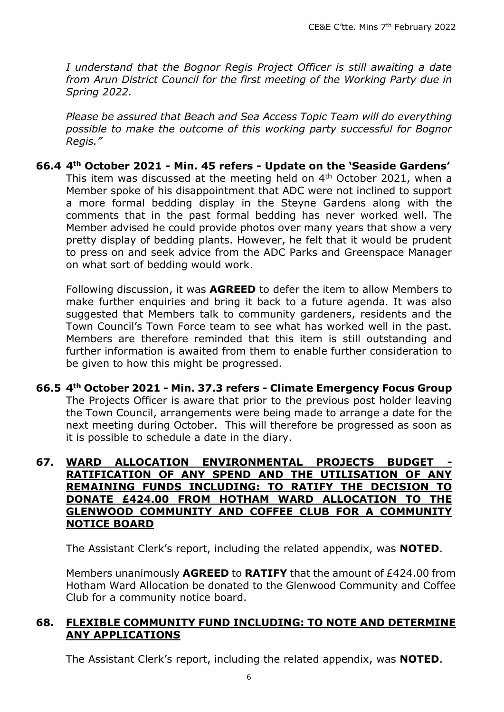*I understand that the Bognor Regis Project Officer is still awaiting a date from Arun District Council for the first meeting of the Working Party due in Spring 2022.*

*Please be assured that Beach and Sea Access Topic Team will do everything possible to make the outcome of this working party successful for Bognor Regis."*

#### **66.4 4th October 2021 - Min. 45 refers - Update on the 'Seaside Gardens'**

This item was discussed at the meeting held on 4th October 2021, when a Member spoke of his disappointment that ADC were not inclined to support a more formal bedding display in the Steyne Gardens along with the comments that in the past formal bedding has never worked well. The Member advised he could provide photos over many years that show a very pretty display of bedding plants. However, he felt that it would be prudent to press on and seek advice from the ADC Parks and Greenspace Manager on what sort of bedding would work.

Following discussion, it was **AGREED** to defer the item to allow Members to make further enquiries and bring it back to a future agenda. It was also suggested that Members talk to community gardeners, residents and the Town Council's Town Force team to see what has worked well in the past. Members are therefore reminded that this item is still outstanding and further information is awaited from them to enable further consideration to be given to how this might be progressed.

**66.5 4th October 2021 - Min. 37.3 refers - Climate Emergency Focus Group** The Projects Officer is aware that prior to the previous post holder leaving the Town Council, arrangements were being made to arrange a date for the next meeting during October. This will therefore be progressed as soon as it is possible to schedule a date in the diary.

#### **67. WARD ALLOCATION ENVIRONMENTAL PROJECTS BUDGET RATIFICATION OF ANY SPEND AND THE UTILISATION OF ANY REMAINING FUNDS INCLUDING: TO RATIFY THE DECISION TO DONATE £424.00 FROM HOTHAM WARD ALLOCATION TO THE GLENWOOD COMMUNITY AND COFFEE CLUB FOR A COMMUNITY NOTICE BOARD**

The Assistant Clerk's report, including the related appendix, was **NOTED**.

Members unanimously **AGREED** to **RATIFY** that the amount of £424.00 from Hotham Ward Allocation be donated to the Glenwood Community and Coffee Club for a community notice board.

#### **68. FLEXIBLE COMMUNITY FUND INCLUDING: TO NOTE AND DETERMINE ANY APPLICATIONS**

The Assistant Clerk's report, including the related appendix, was **NOTED**.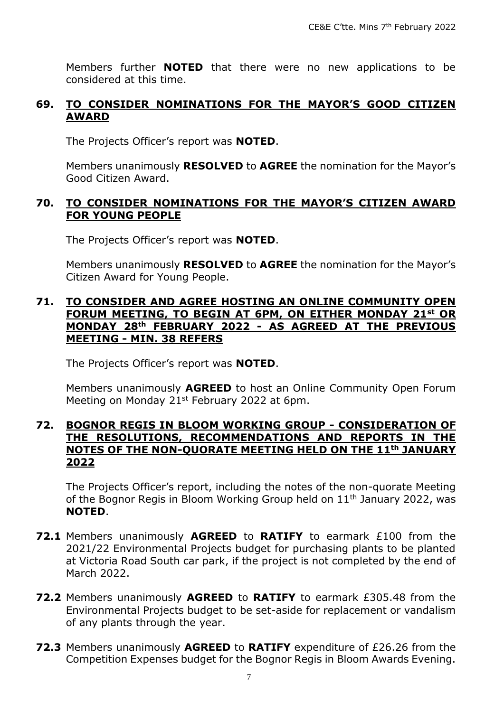Members further **NOTED** that there were no new applications to be considered at this time.

#### **69. TO CONSIDER NOMINATIONS FOR THE MAYOR'S GOOD CITIZEN AWARD**

The Projects Officer's report was **NOTED**.

Members unanimously **RESOLVED** to **AGREE** the nomination for the Mayor's Good Citizen Award.

#### **70. TO CONSIDER NOMINATIONS FOR THE MAYOR'S CITIZEN AWARD FOR YOUNG PEOPLE**

The Projects Officer's report was **NOTED**.

Members unanimously **RESOLVED** to **AGREE** the nomination for the Mayor's Citizen Award for Young People.

#### **71. TO CONSIDER AND AGREE HOSTING AN ONLINE COMMUNITY OPEN FORUM MEETING, TO BEGIN AT 6PM, ON EITHER MONDAY 21st OR MONDAY 28th FEBRUARY 2022 - AS AGREED AT THE PREVIOUS MEETING - MIN. 38 REFERS**

The Projects Officer's report was **NOTED**.

Members unanimously **AGREED** to host an Online Community Open Forum Meeting on Monday 21<sup>st</sup> February 2022 at 6pm.

#### **72. BOGNOR REGIS IN BLOOM WORKING GROUP - CONSIDERATION OF THE RESOLUTIONS, RECOMMENDATIONS AND REPORTS IN THE NOTES OF THE NON-QUORATE MEETING HELD ON THE 11th JANUARY 2022**

The Projects Officer's report, including the notes of the non-quorate Meeting of the Bognor Regis in Bloom Working Group held on  $11<sup>th</sup>$  January 2022, was **NOTED**.

- **72.1** Members unanimously **AGREED** to **RATIFY** to earmark £100 from the 2021/22 Environmental Projects budget for purchasing plants to be planted at Victoria Road South car park, if the project is not completed by the end of March 2022.
- **72.2** Members unanimously **AGREED** to **RATIFY** to earmark £305.48 from the Environmental Projects budget to be set-aside for replacement or vandalism of any plants through the year.
- **72.3** Members unanimously **AGREED** to **RATIFY** expenditure of £26.26 from the Competition Expenses budget for the Bognor Regis in Bloom Awards Evening.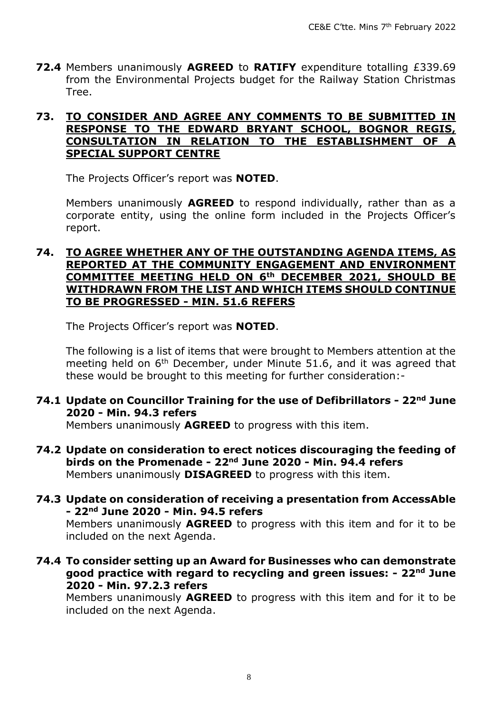**72.4** Members unanimously **AGREED** to **RATIFY** expenditure totalling £339.69 from the Environmental Projects budget for the Railway Station Christmas Tree.

#### **73. TO CONSIDER AND AGREE ANY COMMENTS TO BE SUBMITTED IN RESPONSE TO THE EDWARD BRYANT SCHOOL, BOGNOR REGIS, CONSULTATION IN RELATION TO THE ESTABLISHMENT OF A SPECIAL SUPPORT CENTRE**

The Projects Officer's report was **NOTED**.

Members unanimously **AGREED** to respond individually, rather than as a corporate entity, using the online form included in the Projects Officer's report.

#### **74. TO AGREE WHETHER ANY OF THE OUTSTANDING AGENDA ITEMS, AS REPORTED AT THE COMMUNITY ENGAGEMENT AND ENVIRONMENT COMMITTEE MEETING HELD ON 6th DECEMBER 2021, SHOULD BE WITHDRAWN FROM THE LIST AND WHICH ITEMS SHOULD CONTINUE TO BE PROGRESSED - MIN. 51.6 REFERS**

The Projects Officer's report was **NOTED**.

The following is a list of items that were brought to Members attention at the meeting held on  $6<sup>th</sup>$  December, under Minute 51.6, and it was agreed that these would be brought to this meeting for further consideration:-

#### **74.1 Update on Councillor Training for the use of Defibrillators - 22nd June 2020 - Min. 94.3 refers**

Members unanimously **AGREED** to progress with this item.

**74.2 Update on consideration to erect notices discouraging the feeding of birds on the Promenade - 22nd June 2020 - Min. 94.4 refers** Members unanimously **DISAGREED** to progress with this item.

#### **74.3 Update on consideration of receiving a presentation from AccessAble - 22nd June 2020 - Min. 94.5 refers**

Members unanimously **AGREED** to progress with this item and for it to be included on the next Agenda.

**74.4 To consider setting up an Award for Businesses who can demonstrate good practice with regard to recycling and green issues: - 22nd June 2020 - Min. 97.2.3 refers**

Members unanimously **AGREED** to progress with this item and for it to be included on the next Agenda.